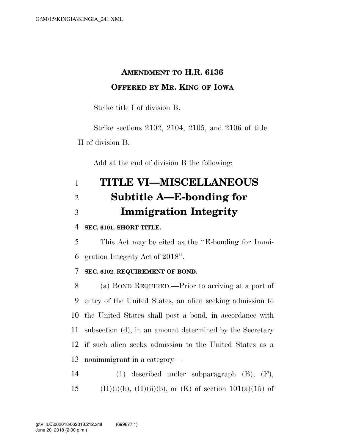### **AMENDMENT TO H.R. 6136 OFFERED BY MR. KING OF IOWA**

Strike title I of division B.

Strike sections 2102, 2104, 2105, and 2106 of title II of division B.

Add at the end of division B the following:

# 1 **TITLE VI—MISCELLANEOUS**  2 **Subtitle A—E-bonding for**  3 **Immigration Integrity**

### 4 **SEC. 6101. SHORT TITLE.**

5 This Act may be cited as the ''E-bonding for Immi-6 gration Integrity Act of 2018''.

### 7 **SEC. 6102. REQUIREMENT OF BOND.**

 (a) BOND REQUIRED.—Prior to arriving at a port of entry of the United States, an alien seeking admission to the United States shall post a bond, in accordance with subsection (d), in an amount determined by the Secretary if such alien seeks admission to the United States as a nonimmigrant in a category—

14 (1) described under subparagraph (B), (F), 15 (H)(i)(b), (H)(ii)(b), or (K) of section  $101(a)(15)$  of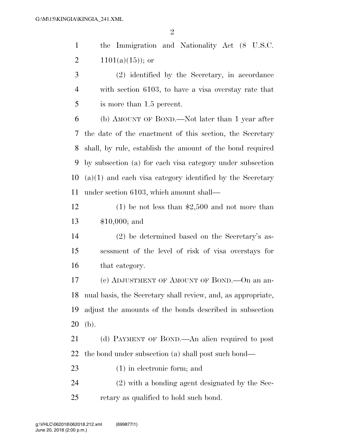the Immigration and Nationality Act (8 U.S.C. 2  $1101(a)(15)$ ; or (2) identified by the Secretary, in accordance

 with section 6103, to have a visa overstay rate that is more than 1.5 percent.

 (b) AMOUNT OF BOND.—Not later than 1 year after the date of the enactment of this section, the Secretary shall, by rule, establish the amount of the bond required by subsection (a) for each visa category under subsection (a)(1) and each visa category identified by the Secretary under section 6103, which amount shall—

 (1) be not less than \$2,500 and not more than \$10,000; and

 (2) be determined based on the Secretary's as- sessment of the level of risk of visa overstays for that category.

 (c) ADJUSTMENT OF AMOUNT OF BOND.—On an an- nual basis, the Secretary shall review, and, as appropriate, adjust the amounts of the bonds described in subsection (b).

 (d) PAYMENT OF BOND.—An alien required to post the bond under subsection (a) shall post such bond—

(1) in electronic form; and

 (2) with a bonding agent designated by the Sec-retary as qualified to hold such bond.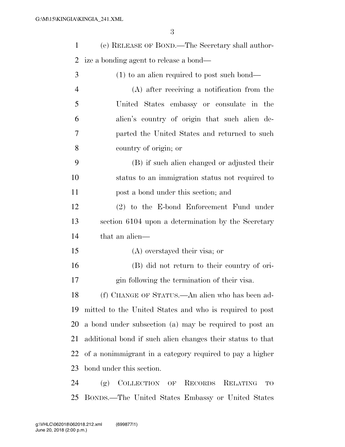| $\mathbf{1}$   | (e) RELEASE OF BOND.—The Secretary shall author-           |
|----------------|------------------------------------------------------------|
| 2              | ize a bonding agent to release a bond—                     |
| 3              | $(1)$ to an alien required to post such bond—              |
| $\overline{4}$ | (A) after receiving a notification from the                |
| 5              | United States embassy or consulate in the                  |
| 6              | alien's country of origin that such alien de-              |
| 7              | parted the United States and returned to such              |
| 8              | country of origin; or                                      |
| 9              | (B) if such alien changed or adjusted their                |
| 10             | status to an immigration status not required to            |
| 11             | post a bond under this section; and                        |
| 12             | $(2)$ to the E-bond Enforcement Fund under                 |
| 13             | section 6104 upon a determination by the Secretary         |
| 14             | that an alien—                                             |
| 15             | (A) overstayed their visa; or                              |
| 16             | (B) did not return to their country of ori-                |
| 17             | gin following the termination of their visa.               |
| 18             | (f) CHANGE OF STATUS.—An alien who has been ad-            |
| 19             | mitted to the United States and who is required to post    |
| 20             | a bond under subsection (a) may be required to post an     |
| 21             | additional bond if such alien changes their status to that |
| 22             | of a nonimmigrant in a category required to pay a higher   |
| 23             | bond under this section.                                   |
| 24             | COLLECTION OF RECORDS RELATING<br>(g)<br>TO                |

BONDS.—The United States Embassy or United States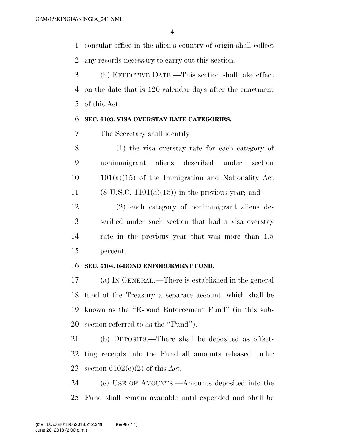consular office in the alien's country of origin shall collect any records necessary to carry out this section.

 (h) EFFECTIVE DATE.—This section shall take effect on the date that is 120 calendar days after the enactment of this Act.

### **SEC. 6103. VISA OVERSTAY RATE CATEGORIES.**

The Secretary shall identify—

 (1) the visa overstay rate for each category of nonimmigrant aliens described under section  $10 \qquad 101(a)(15)$  of the Immigration and Nationality Act 11 (8 U.S.C. 1101(a)(15)) in the previous year; and

 (2) each category of nonimmigrant aliens de- scribed under such section that had a visa overstay rate in the previous year that was more than 1.5 percent.

### **SEC. 6104. E-BOND ENFORCEMENT FUND.**

 (a) IN GENERAL.—There is established in the general fund of the Treasury a separate account, which shall be known as the ''E-bond Enforcement Fund'' (in this sub-section referred to as the ''Fund'').

 (b) DEPOSITS.—There shall be deposited as offset- ting receipts into the Fund all amounts released under 23 section  $6102(e)(2)$  of this Act.

 (c) USE OF AMOUNTS.—Amounts deposited into the Fund shall remain available until expended and shall be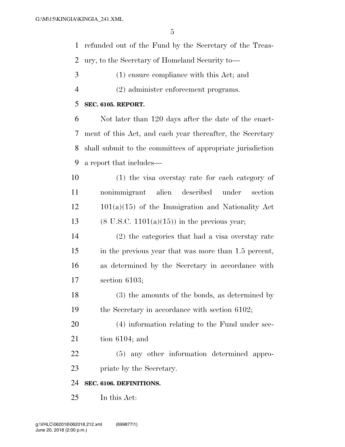refunded out of the Fund by the Secretary of the Treas-ury, to the Secretary of Homeland Security to—

- (1) ensure compliance with this Act; and
- (2) administer enforcement programs.

#### **SEC. 6105. REPORT.**

 Not later than 120 days after the date of the enact- ment of this Act, and each year thereafter, the Secretary shall submit to the committees of appropriate jurisdiction a report that includes—

 (1) the visa overstay rate for each category of nonimmigrant alien described under section 101(a)(15) of the Immigration and Nationality Act 13 (8 U.S.C.  $1101(a)(15)$ ) in the previous year;

 (2) the categories that had a visa overstay rate in the previous year that was more than 1.5 percent, as determined by the Secretary in accordance with section 6103;

 (3) the amounts of the bonds, as determined by 19 the Secretary in accordance with section 6102;

 (4) information relating to the Fund under sec-tion 6104; and

(5) any other information determined appro-

priate by the Secretary.

#### **SEC. 6106. DEFINITIONS.**

In this Act: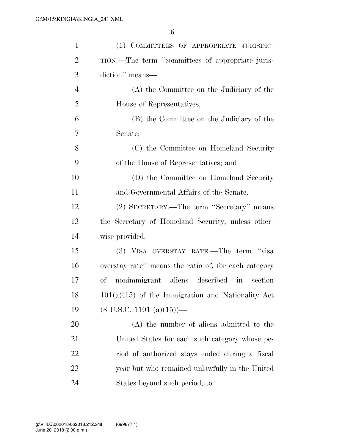| $\mathbf{1}$   | (1) COMMITTEES OF APPROPRIATE JURISDIC-              |
|----------------|------------------------------------------------------|
| $\overline{2}$ | TION.—The term "committees of appropriate juris-     |
| 3              | diction" means-                                      |
| $\overline{4}$ | (A) the Committee on the Judiciary of the            |
| 5              | House of Representatives;                            |
| 6              | (B) the Committee on the Judiciary of the            |
| 7              | Senate;                                              |
| 8              | (C) the Committee on Homeland Security               |
| 9              | of the House of Representatives; and                 |
| 10             | (D) the Committee on Homeland Security               |
| 11             | and Governmental Affairs of the Senate.              |
| 12             | (2) SECRETARY.—The term "Secretary" means            |
| 13             | the Secretary of Homeland Security, unless other-    |
| 14             | wise provided.                                       |
| 15             | (3) VISA OVERSTAY RATE.—The term "visa               |
| 16             | overstay rate" means the ratio of, for each category |
| 17             | nonimmigrant aliens described in<br>of<br>section    |
| 18             | $101(a)(15)$ of the Immigration and Nationality Act  |
| 19             | $(8 \text{ U.S.C. } 1101 \text{ (a)}(15))$ —         |
| 20             | (A) the number of aliens admitted to the             |
| 21             | United States for each such category whose pe-       |
| 22             | riod of authorized stays ended during a fiscal       |
| 23             | year but who remained unlawfully in the United       |
| 24             | States beyond such period; to                        |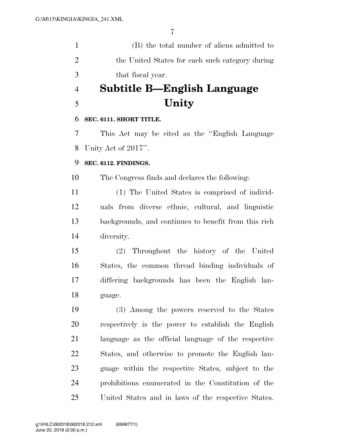(B) the total number of aliens admitted to 2 the United States for each such category during that fiscal year.

## **Subtitle B—English Language Unity**

### **SEC. 6111. SHORT TITLE.**

 This Act may be cited as the ''English Language Unity Act of 2017''.

### **SEC. 6112. FINDINGS.**

The Congress finds and declares the following:

 (1) The United States is comprised of individ- uals from diverse ethnic, cultural, and linguistic backgrounds, and continues to benefit from this rich diversity.

 (2) Throughout the history of the United States, the common thread binding individuals of differing backgrounds has been the English lan-guage.

 (3) Among the powers reserved to the States respectively is the power to establish the English language as the official language of the respective States, and otherwise to promote the English lan- guage within the respective States, subject to the prohibitions enumerated in the Constitution of the United States and in laws of the respective States.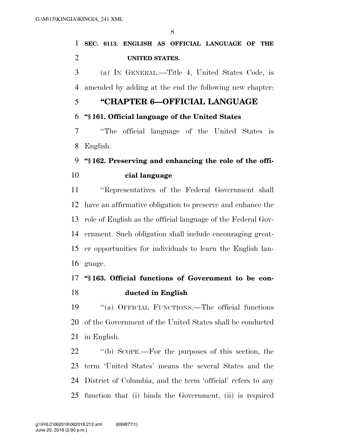### **SEC. 6113. ENGLISH AS OFFICIAL LANGUAGE OF THE UNITED STATES.**

 (a) IN GENERAL.—Title 4, United States Code, is amended by adding at the end the following new chapter:

### **''CHAPTER 6—OFFICIAL LANGUAGE**

### **''§ 161. Official language of the United States**

 ''The official language of the United States is English.

### **''§ 162. Preserving and enhancing the role of the offi-cial language**

 ''Representatives of the Federal Government shall have an affirmative obligation to preserve and enhance the role of English as the official language of the Federal Gov- ernment. Such obligation shall include encouraging great- er opportunities for individuals to learn the English lan-guage.

### **''§ 163. Official functions of Government to be con-ducted in English**

 ''(a) OFFICIAL FUNCTIONS.—The official functions of the Government of the United States shall be conducted in English.

 ''(b) SCOPE.—For the purposes of this section, the term 'United States' means the several States and the District of Columbia, and the term 'official' refers to any function that (i) binds the Government, (ii) is required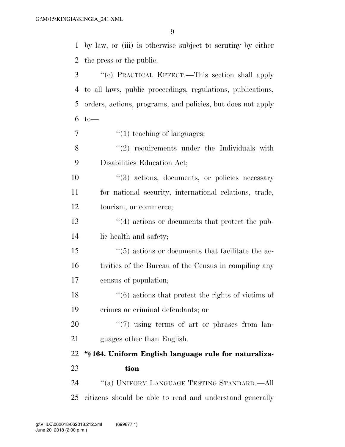by law, or (iii) is otherwise subject to scrutiny by either the press or the public.

 ''(c) PRACTICAL EFFECT.—This section shall apply to all laws, public proceedings, regulations, publications, orders, actions, programs, and policies, but does not apply to  $7 \t\t" (1) teaching of languages;$  ''(2) requirements under the Individuals with Disabilities Education Act; ''(3) actions, documents, or policies necessary for national security, international relations, trade, tourism, or commerce; ''(4) actions or documents that protect the pub- lic health and safety; ''(5) actions or documents that facilitate the ac- tivities of the Bureau of the Census in compiling any census of population;  $\frac{16}{16}$  actions that protect the rights of victims of crimes or criminal defendants; or ''(7) using terms of art or phrases from lan- guages other than English. **''§ 164. Uniform English language rule for naturaliza- tion**  ''(a) UNIFORM LANGUAGE TESTING STANDARD.—All citizens should be able to read and understand generally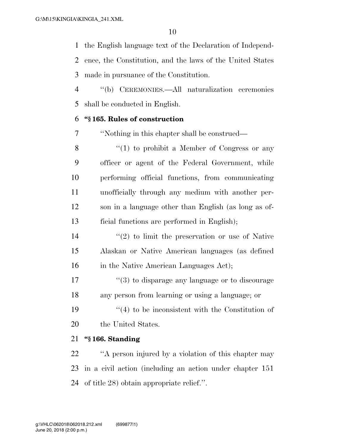the English language text of the Declaration of Independ- ence, the Constitution, and the laws of the United States made in pursuance of the Constitution.

 ''(b) CEREMONIES.—All naturalization ceremonies shall be conducted in English.

### **''§ 165. Rules of construction**

''Nothing in this chapter shall be construed—

8 "(1) to prohibit a Member of Congress or any officer or agent of the Federal Government, while performing official functions, from communicating unofficially through any medium with another per- son in a language other than English (as long as of-ficial functions are performed in English);

 $\frac{14}{2}$  ''(2) to limit the preservation or use of Native Alaskan or Native American languages (as defined 16 in the Native American Languages Act);

17  $\frac{17}{2}$  (3) to disparage any language or to discourage any person from learning or using a language; or

19  $(4)$  to be inconsistent with the Constitution of 20 the United States.

### **''§ 166. Standing**

 ''A person injured by a violation of this chapter may in a civil action (including an action under chapter 151 of title 28) obtain appropriate relief.''.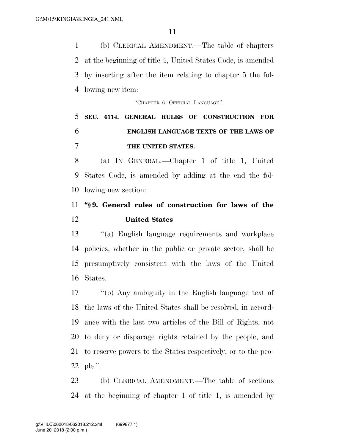(b) CLERICAL AMENDMENT.—The table of chapters at the beginning of title 4, United States Code, is amended by inserting after the item relating to chapter 5 the fol-lowing new item:

''CHAPTER 6. OFFICIAL LANGUAGE''.

## **SEC. 6114. GENERAL RULES OF CONSTRUCTION FOR ENGLISH LANGUAGE TEXTS OF THE LAWS OF THE UNITED STATES.**

 (a) IN GENERAL.—Chapter 1 of title 1, United States Code, is amended by adding at the end the fol-lowing new section:

### **''§ 9. General rules of construction for laws of the United States**

 ''(a) English language requirements and workplace policies, whether in the public or private sector, shall be presumptively consistent with the laws of the United States.

 ''(b) Any ambiguity in the English language text of the laws of the United States shall be resolved, in accord- ance with the last two articles of the Bill of Rights, not to deny or disparage rights retained by the people, and to reserve powers to the States respectively, or to the peo-ple.''.

 (b) CLERICAL AMENDMENT.—The table of sections at the beginning of chapter 1 of title 1, is amended by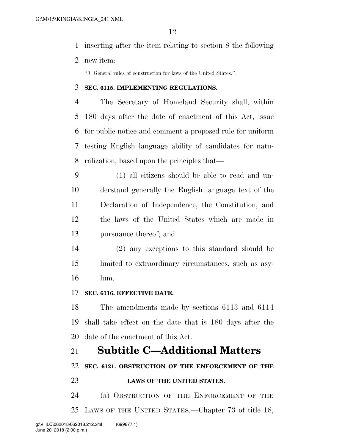- inserting after the item relating to section 8 the following
- new item:

''9. General rules of construction for laws of the United States.''.

#### **SEC. 6115. IMPLEMENTING REGULATIONS.**

 The Secretary of Homeland Security shall, within 180 days after the date of enactment of this Act, issue for public notice and comment a proposed rule for uniform testing English language ability of candidates for natu-ralization, based upon the principles that—

 (1) all citizens should be able to read and un- derstand generally the English language text of the Declaration of Independence, the Constitution, and the laws of the United States which are made in pursuance thereof; and

 (2) any exceptions to this standard should be limited to extraordinary circumstances, such as asy-lum.

#### **SEC. 6116. EFFECTIVE DATE.**

 The amendments made by sections 6113 and 6114 shall take effect on the date that is 180 days after the date of the enactment of this Act.

### **Subtitle C—Additional Matters**

**SEC. 6121. OBSTRUCTION OF THE ENFORCEMENT OF THE** 

### **LAWS OF THE UNITED STATES.**

 (a) OBSTRUCTION OF THE ENFORCEMENT OF THE LAWS OF THE UNITED STATES.—Chapter 73 of title 18,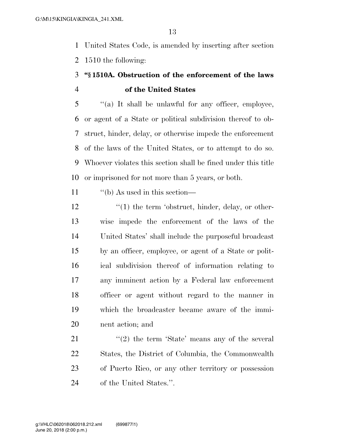United States Code, is amended by inserting after section 1510 the following:

### **''§ 1510A. Obstruction of the enforcement of the laws of the United States**

 ''(a) It shall be unlawful for any officer, employee, or agent of a State or political subdivision thereof to ob- struct, hinder, delay, or otherwise impede the enforcement of the laws of the United States, or to attempt to do so. Whoever violates this section shall be fined under this title or imprisoned for not more than 5 years, or both.

11  $\frac{1}{10}$  (b) As used in this section—

12 ''(1) the term 'obstruct, hinder, delay, or other- wise impede the enforcement of the laws of the United States' shall include the purposeful broadcast by an officer, employee, or agent of a State or polit- ical subdivision thereof of information relating to any imminent action by a Federal law enforcement officer or agent without regard to the manner in which the broadcaster became aware of the immi-nent action; and

21 ''(2) the term 'State' means any of the several States, the District of Columbia, the Commonwealth of Puerto Rico, or any other territory or possession of the United States.''.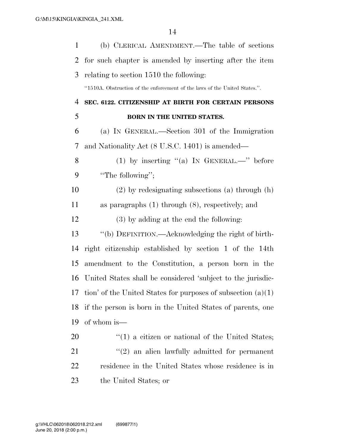| 1  | (b) CLERICAL AMENDMENT.—The table of sections                              |
|----|----------------------------------------------------------------------------|
| 2  | for such chapter is amended by inserting after the item                    |
| 3  | relating to section 1510 the following:                                    |
|    | "1510A. Obstruction of the enforcement of the laws of the United States.". |
| 4  | SEC. 6122. CITIZENSHIP AT BIRTH FOR CERTAIN PERSONS                        |
| 5  | BORN IN THE UNITED STATES.                                                 |
| 6  | (a) IN GENERAL.—Section 301 of the Immigration                             |
| 7  | and Nationality Act (8 U.S.C. 1401) is amended—                            |
| 8  | (1) by inserting "(a) IN GENERAL.—" before                                 |
| 9  | "The following";                                                           |
| 10 | $(2)$ by redesignating subsections (a) through (h)                         |
| 11 | as paragraphs $(1)$ through $(8)$ , respectively; and                      |
| 12 | $(3)$ by adding at the end the following:                                  |
| 13 | "(b) DEFINITION.—Acknowledging the right of birth-                         |
| 14 | right citizenship established by section 1 of the 14th                     |
| 15 | amendment to the Constitution, a person born in the                        |
| 16 | United States shall be considered 'subject to the jurisdic-                |
|    | 17 tion' of the United States for purposes of subsection $(a)(1)$          |
| 18 | if the person is born in the United States of parents, one                 |
| 19 | of whom is—                                                                |
| 20 | $f'(1)$ a citizen or national of the United States;                        |
| 21 | $\lq(2)$ an alien lawfully admitted for permanent                          |
| 22 | residence in the United States whose residence is in                       |
| 23 | the United States; or                                                      |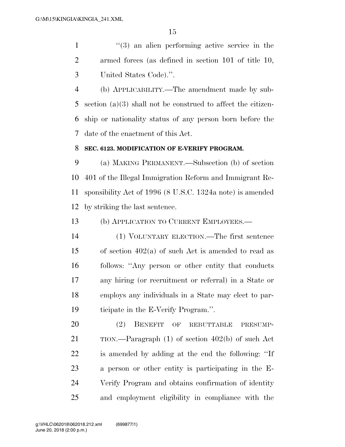''(3) an alien performing active service in the armed forces (as defined in section 101 of title 10, United States Code).''.

 (b) APPLICABILITY.—The amendment made by sub- section (a)(3) shall not be construed to affect the citizen- ship or nationality status of any person born before the date of the enactment of this Act.

### **SEC. 6123. MODIFICATION OF E-VERIFY PROGRAM.**

 (a) MAKING PERMANENT.—Subsection (b) of section 401 of the Illegal Immigration Reform and Immigrant Re- sponsibility Act of 1996 (8 U.S.C. 1324a note) is amended by striking the last sentence.

(b) APPLICATION TO CURRENT EMPLOYEES.—

 (1) VOLUNTARY ELECTION.—The first sentence of section 402(a) of such Act is amended to read as follows: ''Any person or other entity that conducts any hiring (or recruitment or referral) in a State or employs any individuals in a State may elect to par-ticipate in the E-Verify Program.''.

 (2) BENEFIT OF REBUTTABLE PRESUMP- TION.—Paragraph (1) of section 402(b) of such Act is amended by adding at the end the following: ''If a person or other entity is participating in the E- Verify Program and obtains confirmation of identity and employment eligibility in compliance with the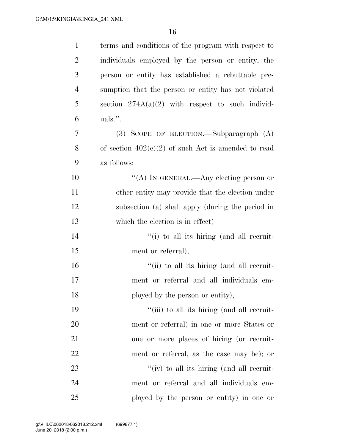| $\mathbf{1}$   | terms and conditions of the program with respect to   |
|----------------|-------------------------------------------------------|
| $\overline{2}$ | individuals employed by the person or entity, the     |
| 3              | person or entity has established a rebuttable pre-    |
| $\overline{4}$ | sumption that the person or entity has not violated   |
| 5              | section $274A(a)(2)$ with respect to such individ-    |
| 6              | uals.".                                               |
| 7              | $(3)$ SCOPE OF ELECTION.—Subparagraph $(A)$           |
| 8              | of section $402(c)(2)$ of such Act is amended to read |
| 9              | as follows:                                           |
| 10             | "(A) IN GENERAL.—Any electing person or               |
| 11             | other entity may provide that the election under      |
| 12             | subsection (a) shall apply (during the period in      |
| 13             | which the election is in effect)—                     |
| 14             | "(i) to all its hiring (and all recruit-              |
| 15             | ment or referral);                                    |
| 16             | "(ii) to all its hiring (and all recruit-             |
| 17             | ment or referral and all individuals em-              |
| 18             | ployed by the person or entity);                      |
| 19             | "(iii) to all its hiring (and all recruit-            |
| 20             | ment or referral) in one or more States or            |
| 21             | one or more places of hiring (or recruit-             |
| 22             | ment or referral, as the case may be); or             |
| 23             | "(iv) to all its hiring (and all recruit-             |
| 24             | ment or referral and all individuals em-              |
| 25             | ployed by the person or entity) in one or             |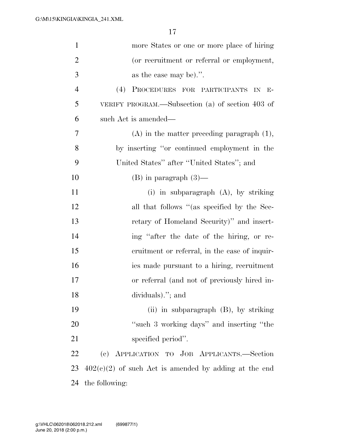| $\mathbf{1}$   | more States or one or more place of hiring              |
|----------------|---------------------------------------------------------|
| $\overline{2}$ | (or recruitment or referral or employment,              |
| 3              | as the case may be).".                                  |
| $\overline{4}$ | (4)<br>PROCEDURES FOR PARTICIPANTS IN E-                |
| 5              | VERIFY PROGRAM.—Subsection (a) of section 403 of        |
| 6              | such Act is amended—                                    |
| 7              | $(A)$ in the matter preceding paragraph $(1)$ ,         |
| 8              | by inserting "or continued employment in the            |
| 9              | United States" after "United States"; and               |
| 10             | $(B)$ in paragraph $(3)$ —                              |
| 11             | (i) in subparagraph $(A)$ , by striking                 |
| 12             | all that follows "(as specified by the Sec-             |
| 13             | retary of Homeland Security)" and insert-               |
| 14             | ing "after the date of the hiring, or re-               |
| 15             | cruitment or referral, in the case of inquir-           |
| 16             | ies made pursuant to a hiring, recruitment              |
| 17             | or referral (and not of previously hired in-            |
| 18             | dividuals)."; and                                       |
| 19             | (ii) in subparagraph $(B)$ , by striking                |
| 20             | "such 3 working days" and inserting "the                |
| 21             | specified period".                                      |
| 22             | (c) APPLICATION TO JOB APPLICANTS.-Section              |
| 23             | $402(c)(2)$ of such Act is amended by adding at the end |
| 24             | the following:                                          |